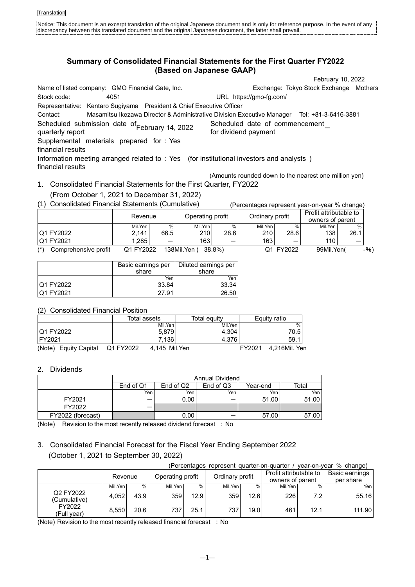# **Summary of Consolidated Financial Statements for the First Quarter FY2022 (Based on Japanese GAAP)**

February 10, 2022 Name of listed company: GMO Financial Gate, Inc. Exchange: Tokyo Stock Exchange Mothers Stock code: 4051 URL https://gmo-fg.com/ Representative: Kentaro Sugiyama President & Chief Executive Officer Contact: Masamitsu Ikezawa Director & Administrative Division Executive Manager Tel: +81-3-6416-3881 Scheduled submission date of ebruary 14, 2022 Scheduled date of commencement<br>quarterly report In the February 14, 2022 for dividend payment Scheduled date of commencement<br>for dividend payment Supplemental materials prepared for : Yes financial results Information meeting arranged related to : Yes (for institutional investors and analysts ) financial results (Amounts rounded down to the nearest one million yen)

1. Consolidated Financial Statements for the First Quarter, FY2022 (From October 1, 2021 to December 31, 2022)

| (1) Consolidated Financial Statements (Cumulative) |                             |      |         |      |                 |      | (Percentages represent year-on-year % change) |      |
|----------------------------------------------------|-----------------------------|------|---------|------|-----------------|------|-----------------------------------------------|------|
|                                                    | Operating profit<br>Revenue |      |         |      | Ordinary profit |      | Profit attributable to                        |      |
|                                                    |                             |      |         |      |                 |      | owners of parent                              |      |
|                                                    | Mil.Yen                     | $\%$ | Mil.Yen | $\%$ | Mil.Yen         | $\%$ | Mil.Yen                                       | $\%$ |
| <b>Q1 FY2022</b>                                   | 2.141                       | 66.5 | 210     | 28.6 | 210             | 28.6 | 138                                           | 26.1 |
| <b>Q1 FY2021</b>                                   | .285                        |      | 163     |      | 163             |      | 110 l                                         |      |

(\*) Comprehensive profit Q1 FY2022 138Mil.Yen ( 38.8%) Q1 FY2022 99Mil.Yen( -%)

|                   | Basic earnings per | Diluted earnings per |
|-------------------|--------------------|----------------------|
|                   | share              | share                |
|                   | Yen                | Yen                  |
| <b>Q1 FY2022</b>  | 33.84              | 33.34                |
| <b>IQ1 FY2021</b> | 27.91              | 26.50                |

(2) Consolidated Financial Position

|                                 |           | Total assets  | Total equitv | Equity ratio |               |
|---------------------------------|-----------|---------------|--------------|--------------|---------------|
|                                 |           |               |              |              |               |
|                                 |           | Mil.Yen       | Mil.Yen      |              | %             |
| <b>Q1 FY2022</b>                |           | 5.879         | 4.304        |              | 70.5          |
| FY2021                          |           | 7.136         | 4.376        |              | 59.1          |
| (Note)<br><b>Equity Capital</b> | Q1 FY2022 | 4.145 Mil.Yen |              | FY2021       | 4.216Mil. Yen |

## 2. Dividends

|                   |           |           | Annual Dividend |          |       |
|-------------------|-----------|-----------|-----------------|----------|-------|
|                   | End of Q1 | End of Q2 | End of Q3       | Year-end | Total |
|                   | Yen       | Yen       | Yen             | Yen      | Yen   |
| FY2021            |           | 0.00      |                 | 51.00    | 51.00 |
| FY2022            |           |           |                 |          |       |
| FY2022 (forecast) |           | 0.00      |                 | 57.00    | 57.00 |

(Note) Revision to the most recently released dividend forecast : No

# 3. Consolidated Financial Forecast for the Fiscal Year Ending September 2022 (October 1, 2021 to September 30, 2022)

| year-on-year % change)<br>(Percentages represent quarter-on-quarter / |         |      |                  |      |                 |      |                                            |      |                             |
|-----------------------------------------------------------------------|---------|------|------------------|------|-----------------|------|--------------------------------------------|------|-----------------------------|
|                                                                       | Revenue |      | Operating profit |      | Ordinary profit |      | Profit attributable to<br>owners of parent |      | Basic earnings<br>per share |
|                                                                       | Mil.Yen | %    | Mil.Yen          | %    | Mil.Yen         | $\%$ | Mil.Yen                                    | $\%$ | Yen                         |
| Q2 FY2022<br>(Cumulative)                                             | 4,052   | 43.9 | 359              | 12.9 | 359             | 12.6 | 226                                        | 7.2  | 55.16                       |
| FY2022<br>(Full year)                                                 | 8.550   | 20.6 | 737              | 25.1 | 737             | 19.0 | 461                                        | 12.1 | 111.90                      |

(Note) Revision to the most recently released financial forecast : No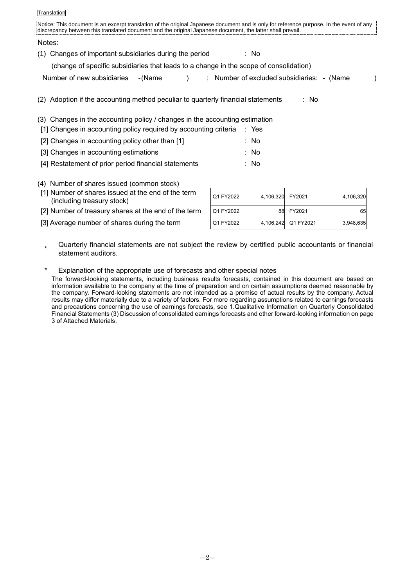| Translation                                                                                                                                                                                                                                            |                                            |
|--------------------------------------------------------------------------------------------------------------------------------------------------------------------------------------------------------------------------------------------------------|--------------------------------------------|
| Notice: This document is an excerpt translation of the original Japanese document and is only for reference purpose. In the event of any<br>discrepancy between this translated document and the original Japanese document, the latter shall prevail. |                                            |
| Notes:                                                                                                                                                                                                                                                 |                                            |
| Changes of important subsidiaries during the period<br>(1)                                                                                                                                                                                             | : No                                       |
| (change of specific subsidiaries that leads to a change in the scope of consolidation)                                                                                                                                                                 |                                            |
| Number of new subsidiaries<br>- (Name                                                                                                                                                                                                                  | ; Number of excluded subsidiaries: - (Name |
| Adoption if the accounting method peculiar to quarterly financial statements                                                                                                                                                                           | : No                                       |
| (3) Changes in the accounting policy / changes in the accounting estimation                                                                                                                                                                            |                                            |
| [1] Changes in accounting policy required by accounting criteria                                                                                                                                                                                       | : Yes                                      |
| [2] Changes in accounting policy other than [1]                                                                                                                                                                                                        | : No                                       |
| [3] Changes in accounting estimations                                                                                                                                                                                                                  | : No                                       |

- [4] Restatement of prior period financial statements : No
- (4) Number of shares issued (common stock)
- [1] Number of shares issued at the end of the term (including treasury stock)
- [2] Number of treasury shares at the end of the term
- [3] Average number of shares during the term

| Q1 FY2022 | 4,106,320 | FY2021    | 4,106,320 |
|-----------|-----------|-----------|-----------|
| Q1 FY2022 | 88        | FY2021    | 65        |
| Q1 FY2022 | 4,106,242 | Q1 FY2021 | 3,948,635 |

- \* Quarterly financial statements are not subject the review by certified public accountants or financial statement auditors.
- Explanation of the appropriate use of forecasts and other special notes The forward-looking statements, including business results forecasts, contained in this document are based on information available to the company at the time of preparation and on certain assumptions deemed reasonable by the company. Forward-looking statements are not intended as a promise of actual results by the company. Actual

results may differ materially due to a variety of factors. For more regarding assumptions related to earnings forecasts and precautions concerning the use of earnings forecasts, see 1.Qualitative Information on Quarterly Consolidated Financial Statements (3) Discussion of consolidated earnings forecasts and other forward-looking information on page 3 of Attached Materials.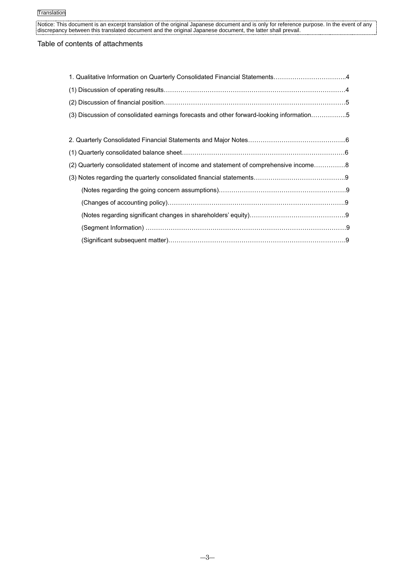## Table of contents of attachments

| 1. Qualitative Information on Quarterly Consolidated Financial Statements4               |  |
|------------------------------------------------------------------------------------------|--|
|                                                                                          |  |
|                                                                                          |  |
| (3) Discussion of consolidated earnings forecasts and other forward-looking information5 |  |
|                                                                                          |  |
|                                                                                          |  |
|                                                                                          |  |
| (2) Quarterly consolidated statement of income and statement of comprehensive income8    |  |
|                                                                                          |  |
|                                                                                          |  |
|                                                                                          |  |
|                                                                                          |  |
|                                                                                          |  |
| (Significant subsequent matter)………………………………………………………………………………9                           |  |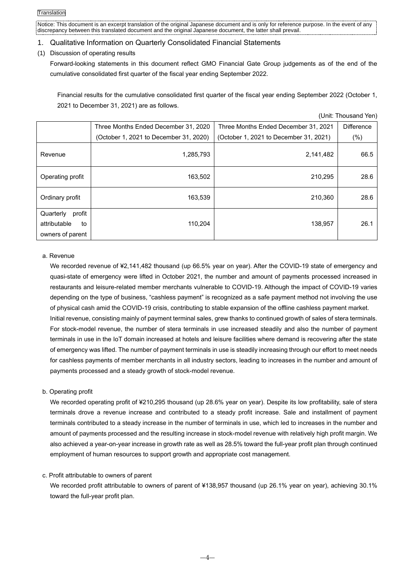## 1. Qualitative Information on Quarterly Consolidated Financial Statements

## (1) Discussion of operating results

Forward-looking statements in this document reflect GMO Financial Gate Group judgements as of the end of the cumulative consolidated first quarter of the fiscal year ending September 2022.

Financial results for the cumulative consolidated first quarter of the fiscal year ending September 2022 (October 1, 2021 to December 31, 2021) are as follows.

(Unit: Thousand Yen)

|                                                               |                                        |                                        | UIIII. IIIUusallu Itil <i>l</i> |
|---------------------------------------------------------------|----------------------------------------|----------------------------------------|---------------------------------|
|                                                               | Three Months Ended December 31, 2020   | Three Months Ended December 31, 2021   | <b>Difference</b>               |
|                                                               | (October 1, 2021 to December 31, 2020) | (October 1, 2021 to December 31, 2021) | $(\%)$                          |
| Revenue                                                       | 1,285,793                              | 2,141,482                              | 66.5                            |
| Operating profit                                              | 163,502                                | 210,295                                | 28.6                            |
| Ordinary profit                                               | 163,539                                | 210,360                                | 28.6                            |
| profit<br>Quarterly<br>attributable<br>to<br>owners of parent | 110,204                                | 138.957                                | 26.1                            |

#### a. Revenue

We recorded revenue of ¥2,141,482 thousand (up 66.5% year on year). After the COVID-19 state of emergency and quasi-state of emergency were lifted in October 2021, the number and amount of payments processed increased in restaurants and leisure-related member merchants vulnerable to COVID-19. Although the impact of COVID-19 varies depending on the type of business, "cashless payment" is recognized as a safe payment method not involving the use of physical cash amid the COVID-19 crisis, contributing to stable expansion of the offline cashless payment market. Initial revenue, consisting mainly of payment terminal sales, grew thanks to continued growth of sales of stera terminals. For stock-model revenue, the number of stera terminals in use increased steadily and also the number of payment terminals in use in the IoT domain increased at hotels and leisure facilities where demand is recovering after the state of emergency was lifted. The number of payment terminals in use is steadily increasing through our effort to meet needs for cashless payments of member merchants in all industry sectors, leading to increases in the number and amount of payments processed and a steady growth of stock-model revenue.

### b. Operating profit

We recorded operating profit of ¥210,295 thousand (up 28.6% year on year). Despite its low profitability, sale of stera terminals drove a revenue increase and contributed to a steady profit increase. Sale and installment of payment terminals contributed to a steady increase in the number of terminals in use, which led to increases in the number and amount of payments processed and the resulting increase in stock-model revenue with relatively high profit margin. We also achieved a year-on-year increase in growth rate as well as 28.5% toward the full-year profit plan through continued employment of human resources to support growth and appropriate cost management.

### c. Profit attributable to owners of parent

We recorded profit attributable to owners of parent of ¥138,957 thousand (up 26.1% year on year), achieving 30.1% toward the full-year profit plan.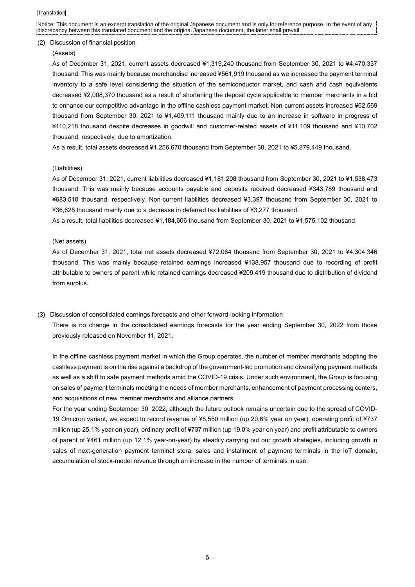#### (2) Discussion of financial position

#### (Assets)

As of December 31, 2021, current assets decreased ¥1,319,240 thousand from September 30, 2021 to ¥4,470,337 thousand. This was mainly because merchandise increased ¥561,919 thousand as we increased the payment terminal inventory to a safe level considering the situation of the semiconductor market, and cash and cash equivalents decreased ¥2,008,370 thousand as a result of shortening the deposit cycle applicable to member merchants in a bid to enhance our competitive advantage in the offline cashless payment market. Non-current assets increased ¥62,569 thousand from September 30, 2021 to ¥1,409,111 thousand mainly due to an increase in software in progress of ¥110,218 thousand despite decreases in goodwill and customer-related assets of ¥11,109 thousand and ¥10,702 thousand, respectively, due to amortization.

As a result, total assets decreased ¥1,256,670 thousand from September 30, 2021 to ¥5,879,449 thousand.

### (Liabilities)

As of December 31, 2021, current liabilities decreased ¥1,181,208 thousand from September 30, 2021 to ¥1,538,473 thousand. This was mainly because accounts payable and deposits received decreased ¥343,789 thousand and ¥683,510 thousand, respectively. Non-current liabilities decreased ¥3,397 thousand from September 30, 2021 to ¥36,628 thousand mainly due to a decrease in deferred tax liabilities of ¥3,277 thousand.

As a result, total liabilities decreased ¥1,184,606 thousand from September 30, 2021 to ¥1,575,102 thousand.

### (Net assets)

As of December 31, 2021, total net assets decreased ¥72,064 thousand from September 30, 2021 to ¥4,304,346 thousand. This was mainly because retained earnings increased ¥138,957 thousand due to recording of profit attributable to owners of parent while retained earnings decreased ¥209,419 thousand due to distribution of dividend from surplus.

### (3) Discussion of consolidated earnings forecasts and other forward-looking information

There is no change in the consolidated earnings forecasts for the year ending September 30, 2022 from those previously released on November 11, 2021.

In the offline cashless payment market in which the Group operates, the number of member merchants adopting the cashless payment is on the rise against a backdrop of the government-led promotion and diversifying payment methods as well as a shift to safe payment methods amid the COVID-19 crisis. Under such environment, the Group is focusing on sales of payment terminals meeting the needs of member merchants, enhancement of payment processing centers, and acquisitions of new member merchants and alliance partners.

For the year ending September 30, 2022, although the future outlook remains uncertain due to the spread of COVID-19 Omicron variant, we expect to record revenue of ¥8,550 million (up 20.6% year on year), operating profit of ¥737 million (up 25.1% year on year), ordinary profit of ¥737 million (up 19.0% year on year) and profit attributable to owners of parent of ¥461 million (up 12.1% year-on-year) by steadily carrying out our growth strategies, including growth in sales of next-generation payment terminal stera, sales and installment of payment terminals in the IoT domain, accumulation of stock-model revenue through an increase in the number of terminals in use.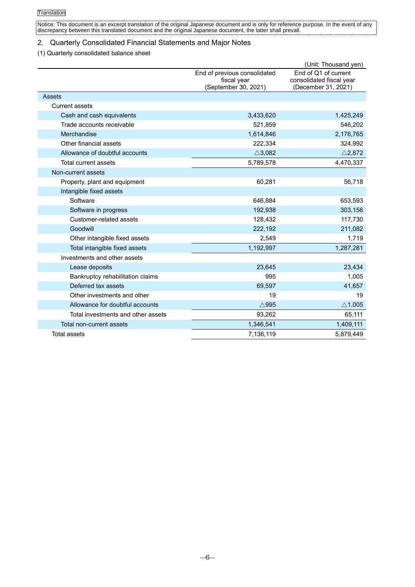## 2. Quarterly Consolidated Financial Statements and Major Notes

## (1) Quarterly consolidated balance sheet

|                                    |                                                                     | (Unit: Thousand yen)                                                    |
|------------------------------------|---------------------------------------------------------------------|-------------------------------------------------------------------------|
|                                    | End of previous consolidated<br>fiscal year<br>(September 30, 2021) | End of Q1 of current<br>consolidated fiscal year<br>(December 31, 2021) |
| Assets                             |                                                                     |                                                                         |
| <b>Current assets</b>              |                                                                     |                                                                         |
| Cash and cash equivalents          | 3,433,620                                                           | 1,425,249                                                               |
| Trade accounts receivable          | 521,859                                                             | 546,202                                                                 |
| Merchandise                        | 1,614,846                                                           | 2,176,765                                                               |
| Other financial assets             | 222,334                                                             | 324,992                                                                 |
| Allowance of doubtful accounts     | $\triangle$ 3,082                                                   | $\triangle$ 2,872                                                       |
| Total current assets               | 5,789,578                                                           | 4,470,337                                                               |
| Non-current assets                 |                                                                     |                                                                         |
| Property, plant and equipment      | 60,281                                                              | 56,718                                                                  |
| Intangible fixed assets            |                                                                     |                                                                         |
| Software                           | 646,884                                                             | 653,593                                                                 |
| Software in progress               | 192,938                                                             | 303,156                                                                 |
| Customer-related assets            | 128,432                                                             | 117,730                                                                 |
| Goodwill                           | 222,192                                                             | 211,082                                                                 |
| Other intangible fixed assets      | 2,549                                                               | 1,719                                                                   |
| Total intangible fixed assets      | 1,192,997                                                           | 1,287,281                                                               |
| Investments and other assets       |                                                                     |                                                                         |
| Lease deposits                     | 23,645                                                              | 23,434                                                                  |
| Bankruptcy rehabilitation claims   | 995                                                                 | 1,005                                                                   |
| Deferred tax assets                | 69,597                                                              | 41,657                                                                  |
| Other investments and other        | 19                                                                  | 19                                                                      |
| Allowance for doubtful accounts    | $\wedge$ 995                                                        | $\triangle$ 1,005                                                       |
| Total investments and other assets | 93,262                                                              | 65,111                                                                  |
| Total non-current assets           | 1,346,541                                                           | 1,409,111                                                               |
| Total assets                       | 7,136,119                                                           | 5,879,449                                                               |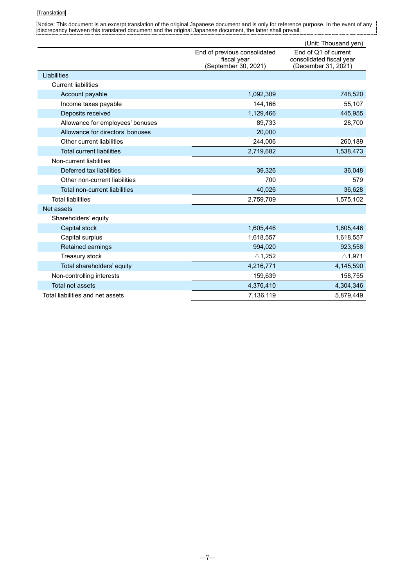|                                      |                                     | (Unit: Thousand yen)                            |
|--------------------------------------|-------------------------------------|-------------------------------------------------|
|                                      | End of previous consolidated        | End of Q1 of current                            |
|                                      | fiscal year<br>(September 30, 2021) | consolidated fiscal year<br>(December 31, 2021) |
| Liabilities                          |                                     |                                                 |
| <b>Current liabilities</b>           |                                     |                                                 |
| Account payable                      | 1,092,309                           | 748,520                                         |
| Income taxes payable                 | 144,166                             | 55,107                                          |
| Deposits received                    | 1,129,466                           | 445,955                                         |
| Allowance for employees' bonuses     | 89,733                              | 28,700                                          |
| Allowance for directors' bonuses     | 20,000                              |                                                 |
| Other current liabilities            | 244,006                             | 260,189                                         |
| <b>Total current liabilities</b>     | 2,719,682                           | 1,538,473                                       |
| Non-current liabilities              |                                     |                                                 |
| Deferred tax liabilities             | 39,326                              | 36,048                                          |
| Other non-current liabilities        | 700                                 | 579                                             |
| <b>Total non-current liabilities</b> | 40,026                              | 36,628                                          |
| <b>Total liabilities</b>             | 2,759,709                           | 1,575,102                                       |
| Net assets                           |                                     |                                                 |
| Shareholders' equity                 |                                     |                                                 |
| Capital stock                        | 1,605,446                           | 1,605,446                                       |
| Capital surplus                      | 1,618,557                           | 1,618,557                                       |
| Retained earnings                    | 994,020                             | 923,558                                         |
| Treasury stock                       | $\triangle$ 1,252                   | $\triangle$ 1,971                               |
| Total shareholders' equity           | 4,216,771                           | 4,145,590                                       |
| Non-controlling interests            | 159,639                             | 158,755                                         |
| Total net assets                     | 4,376,410                           | 4,304,346                                       |
| Total liabilities and net assets     | 7.136.119                           | 5,879,449                                       |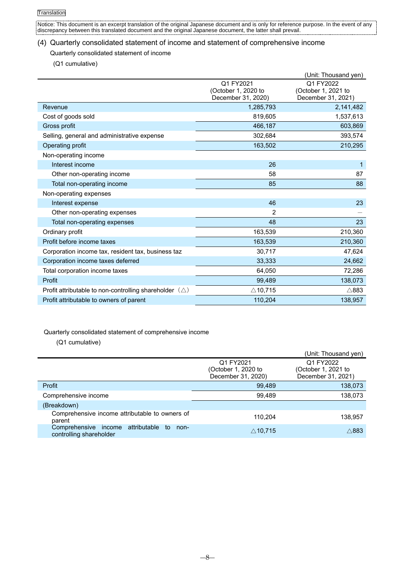## (4) Quarterly consolidated statement of income and statement of comprehensive income

## Quarterly consolidated statement of income

(Q1 cumulative)

|                                                                  |                                                        | (Unit: Thousand yen)                                   |
|------------------------------------------------------------------|--------------------------------------------------------|--------------------------------------------------------|
|                                                                  | Q1 FY2021<br>(October 1, 2020 to<br>December 31, 2020) | Q1 FY2022<br>(October 1, 2021 to<br>December 31, 2021) |
| Revenue                                                          | 1,285,793                                              | 2,141,482                                              |
|                                                                  |                                                        |                                                        |
| Cost of goods sold                                               | 819,605                                                | 1,537,613                                              |
| Gross profit                                                     | 466,187                                                | 603,869                                                |
| Selling, general and administrative expense                      | 302,684                                                | 393,574                                                |
| Operating profit                                                 | 163,502                                                | 210,295                                                |
| Non-operating income                                             |                                                        |                                                        |
| Interest income                                                  | 26                                                     | 1                                                      |
| Other non-operating income                                       | 58                                                     | 87                                                     |
| Total non-operating income                                       | 85                                                     | 88                                                     |
| Non-operating expenses                                           |                                                        |                                                        |
| Interest expense                                                 | 46                                                     | 23                                                     |
| Other non-operating expenses                                     | $\overline{2}$                                         |                                                        |
| Total non-operating expenses                                     | 48                                                     | 23                                                     |
| Ordinary profit                                                  | 163,539                                                | 210,360                                                |
| Profit before income taxes                                       | 163,539                                                | 210,360                                                |
| Corporation income tax, resident tax, business taz               | 30,717                                                 | 47,624                                                 |
| Corporation income taxes deferred                                | 33,333                                                 | 24,662                                                 |
| Total corporation income taxes                                   | 64,050                                                 | 72,286                                                 |
| Profit                                                           | 99,489                                                 | 138,073                                                |
| Profit attributable to non-controlling shareholder $(\triangle)$ | $\triangle$ 10,715                                     | $\wedge$ 883                                           |
| Profit attributable to owners of parent                          | 110,204                                                | 138,957                                                |

# Quarterly consolidated statement of comprehensive income

(Q1 cumulative)

|                                                                         |                                                        | (Unit: Thousand yen)                                   |
|-------------------------------------------------------------------------|--------------------------------------------------------|--------------------------------------------------------|
|                                                                         | Q1 FY2021<br>(October 1, 2020 to<br>December 31, 2020) | Q1 FY2022<br>(October 1, 2021 to<br>December 31, 2021) |
| Profit                                                                  | 99,489                                                 | 138,073                                                |
| Comprehensive income                                                    | 99.489                                                 | 138,073                                                |
| (Breakdown)                                                             |                                                        |                                                        |
| Comprehensive income attributable to owners of<br>parent                | 110.204                                                | 138,957                                                |
| Comprehensive income attributable to<br>non-<br>controlling shareholder | $\triangle$ 10,715                                     | $\wedge$ 883                                           |